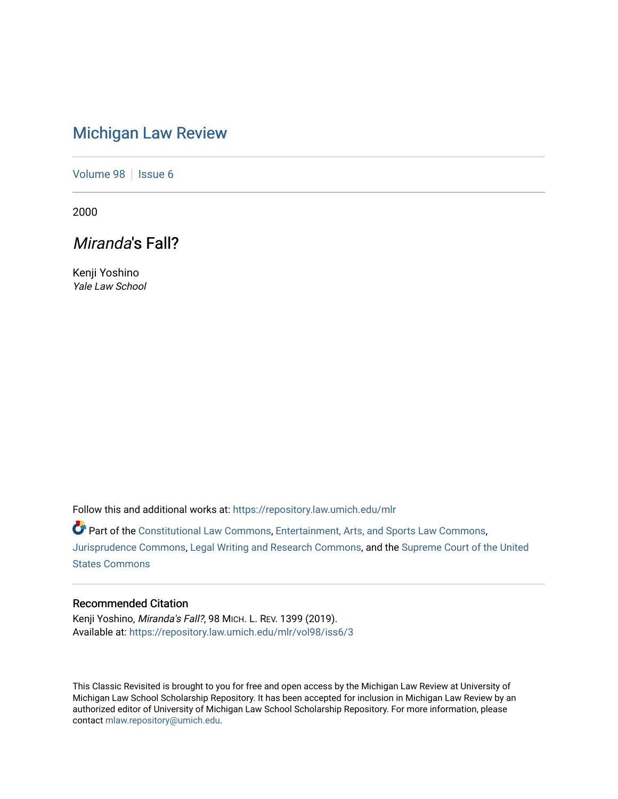# [Michigan Law Review](https://repository.law.umich.edu/mlr)

[Volume 98](https://repository.law.umich.edu/mlr/vol98) | [Issue 6](https://repository.law.umich.edu/mlr/vol98/iss6)

2000

## Miranda's Fall?

Kenji Yoshino Yale Law School

Follow this and additional works at: [https://repository.law.umich.edu/mlr](https://repository.law.umich.edu/mlr?utm_source=repository.law.umich.edu%2Fmlr%2Fvol98%2Fiss6%2F3&utm_medium=PDF&utm_campaign=PDFCoverPages) 

Part of the [Constitutional Law Commons,](http://network.bepress.com/hgg/discipline/589?utm_source=repository.law.umich.edu%2Fmlr%2Fvol98%2Fiss6%2F3&utm_medium=PDF&utm_campaign=PDFCoverPages) [Entertainment, Arts, and Sports Law Commons](http://network.bepress.com/hgg/discipline/893?utm_source=repository.law.umich.edu%2Fmlr%2Fvol98%2Fiss6%2F3&utm_medium=PDF&utm_campaign=PDFCoverPages), [Jurisprudence Commons](http://network.bepress.com/hgg/discipline/610?utm_source=repository.law.umich.edu%2Fmlr%2Fvol98%2Fiss6%2F3&utm_medium=PDF&utm_campaign=PDFCoverPages), [Legal Writing and Research Commons](http://network.bepress.com/hgg/discipline/614?utm_source=repository.law.umich.edu%2Fmlr%2Fvol98%2Fiss6%2F3&utm_medium=PDF&utm_campaign=PDFCoverPages), and the [Supreme Court of the United](http://network.bepress.com/hgg/discipline/1350?utm_source=repository.law.umich.edu%2Fmlr%2Fvol98%2Fiss6%2F3&utm_medium=PDF&utm_campaign=PDFCoverPages) [States Commons](http://network.bepress.com/hgg/discipline/1350?utm_source=repository.law.umich.edu%2Fmlr%2Fvol98%2Fiss6%2F3&utm_medium=PDF&utm_campaign=PDFCoverPages) 

## Recommended Citation

Kenji Yoshino, Miranda's Fall?, 98 MICH. L. REV. 1399 (2019). Available at: [https://repository.law.umich.edu/mlr/vol98/iss6/3](https://repository.law.umich.edu/mlr/vol98/iss6/3?utm_source=repository.law.umich.edu%2Fmlr%2Fvol98%2Fiss6%2F3&utm_medium=PDF&utm_campaign=PDFCoverPages)

This Classic Revisited is brought to you for free and open access by the Michigan Law Review at University of Michigan Law School Scholarship Repository. It has been accepted for inclusion in Michigan Law Review by an authorized editor of University of Michigan Law School Scholarship Repository. For more information, please contact [mlaw.repository@umich.edu](mailto:mlaw.repository@umich.edu).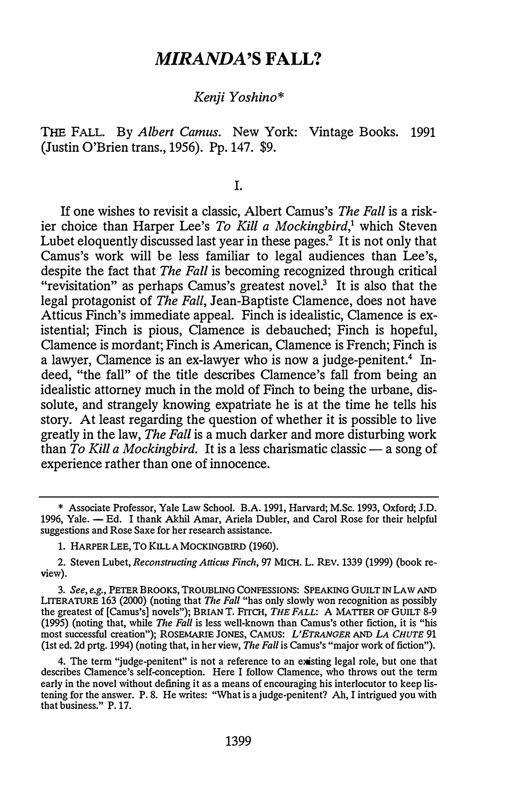## MIRANDA'S FALL?

#### Kenji Yoshino\*

THE FALL. By Albert Camus. New York: Vintage Books. 1991 (Justin O'Brien trans., 1956). Pp.147. \$9.

I.

If one wishes to revisit a classic, Albert Camus's The Fall is a riskier choice than Harper Lee's To Kill a Mockingbird,<sup>1</sup> which Steven Lubet eloquently discussed last year in these pages.<sup>2</sup> It is not only that Camus's work will be less familiar to legal audiences than Lee's, despite the fact that *The Fall* is becoming recognized through critical "revisitation" as perhaps Camus's greatest novel. $3$  It is also that the legal protagonist of *The Fall*, Jean-Baptiste Clamence, does not have Atticus Finch's immediate appeal. Finch is idealistic, Clamence is existential; Finch is pious, Clamence is debauched; Finch is hopeful, Clamence is mordant; Finch is American, Clamence is French; Finch is a lawyer, Clamence is an ex-lawyer who is now a judge-penitent.<sup>4</sup> Indeed, "the fall" of the title describes Clamence's fall from being an idealistic attorney much in the mold of Finch to being the urbane, dissolute, and strangely knowing expatriate he is at the time he tells his story. At least regarding the question of whether it is possible to live greatly in the law, *The Fall* is a much darker and more disturbing work than To Kill a Mockingbird. It is a less charismatic classic  $-$  a song of experience rather than one of innocence.

2. Steven Lubet, Reconstructing Atticus Finch, 97 MICH. L. REV. 1339 (1999) (book review).

3. See, e.g., PETER BROOKS, TROUBLING CONFESSIONS: SPEAKING GUILT IN LAW AND LITERATURE 163 (2000) (noting that The Fall "has only slowly won recognition as possibly the greatest of [Camus's] novels"); BRIAN T. FITCH, THE FALL: A MATTER OF GUILT 8-9 (1995) (noting that, while *The Fall* is less well-known than Camus's other fiction, it is "his most successful creation"); ROSEMARIE JONES, CAMUS: L'ETRANGER AND LA CHUTE 91 (1st ed. 2d prtg. 1994) (noting that, in her view, The Fall is Camus's "major work of fiction").

4. The term "judge-penitent" is not a reference to an existing legal role, but one that describes Clamence's self-conception. Here I follow Clamence, who throws out the term early in the novel without defining it as a means of encouraging his interlocutor to keep listening for the answer. P. 8. He writes: "What is a judge-penitent? Ah, I intrigued you with that business." P. 17.

<sup>\*</sup> Associate Professor, Yale Law School. B.A. 1991, Harvard; M.Sc. 1993, Oxford; J.D. 1996, Yale. - Ed. I thank Akhil Amar, Ariela Dubler, and Carol Rose for their helpful suggestions and Rose Saxe for her research assistance.

<sup>1.</sup> HARPER LEE, TO KILL A MOCKINGBIRD (1960).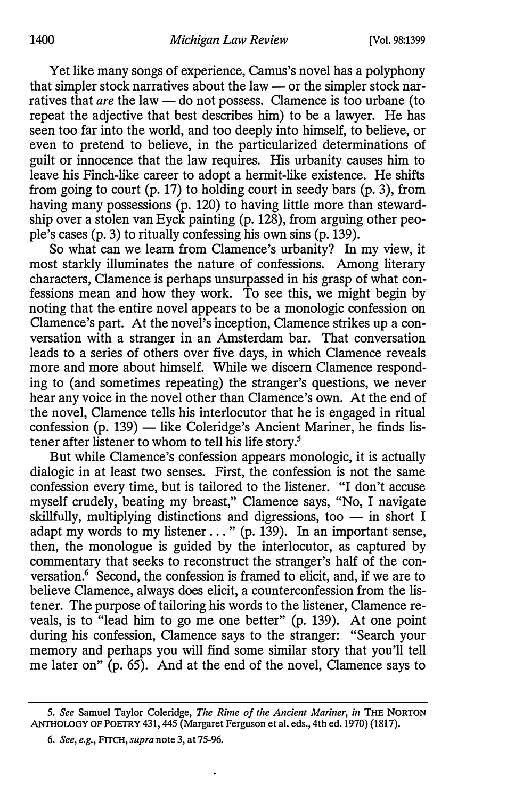Yet like many songs of experience, Camus's novel has a polyphony that simpler stock narratives about the law  $-$  or the simpler stock narratives that are the law  $-$  do not possess. Clamence is too urbane (to repeat the adjective that best describes him) to be a lawyer. He has seen too far into the world, and too deeply into himself, to believe, or even to pretend to believe, in the particularized determinations of guilt or innocence that the law requires. His urbanity causes him to leave his Finch-like career to adopt a hermit-like existence. He shifts from going to court  $(p. 17)$  to holding court in seedy bars  $(p. 3)$ , from having many possessions (p. 120) to having little more than stewardship over a stolen van Eyck painting (p. 128), from arguing other people's cases (p. 3) to ritually confessing his own sins (p. 139).

So what can we learn from Clamence's urbanity? In my view, it most starkly illuminates the nature of confessions. Among literary characters, Clamence is perhaps unsurpassed in his grasp of what confessions mean and how they work. To see this, we might begin by noting that the entire novel appears to be a monologic confession on Clamence's part. At the novel's inception, Clamence strikes up a conversation with a stranger in an Amsterdam bar. That conversation leads to a series of others over five days, in which Clamence reveals more and more about himself. While we discern Clamence responding to (and sometimes repeating) the stranger's questions, we never hear any voice in the novel other than Clamence's own. At the end of the novel, Clamence tells his interlocutor that he is engaged in ritual confession  $(p. 139)$  — like Coleridge's Ancient Mariner, he finds listener after listener to whom to tell his life story.5

But while Clamence's confession appears monologic, it is actually dialogic in at least two senses. First, the confession is not the same confession every time, but is tailored to the listener. "I don't accuse myself crudely, beating my breast," Clamence says, "No, I navigate skillfully, multiplying distinctions and digressions, too  $-$  in short I adapt my words to my listener ... " (p. 139). In an important sense, then, the monologue is guided by the interlocutor, as captured by commentary that seeks to reconstruct the stranger's half of the conversation.<sup>6</sup> Second, the confession is framed to elicit, and, if we are to believe Clamence, always does elicit, a counterconfession from the listener. The purpose of tailoring his words to the listener, Clamence reveals, is to "lead him to go me one better" (p. 139). At one point during his confession, Clamence says to the stranger: "Search your memory and perhaps you will find some similar story that you'll tell me later on" (p. 65). And at the end of the novel, Clamence says to

ANTHOLOGY OF POETRY 431, 445 (Margaret Ferguson et al. eds., 4th ed. 1970) (1817). 5. See Samuel Taylor Coleridge, The Rime of the Ancient Mariner, in THE NORTON

<sup>6.</sup> See, e.g., FITCH, supra note 3, at 75-96.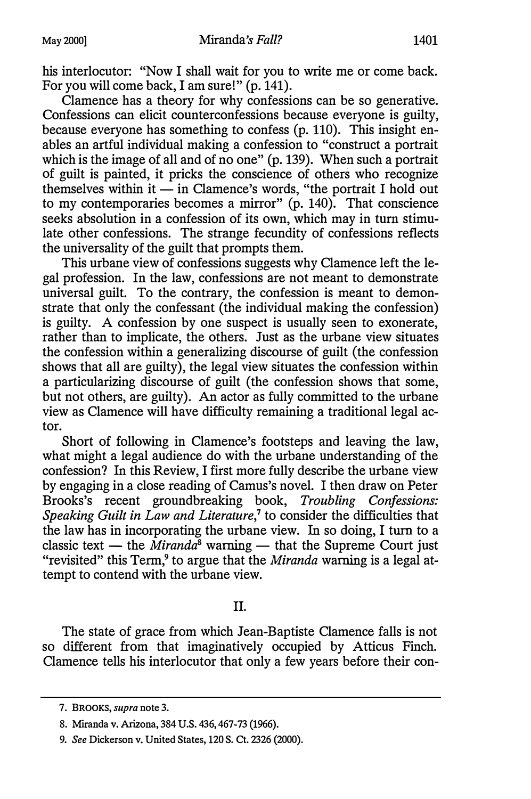his interlocutor: "Now I shall wait for you to write me or come back. For you will come back, I am sure!" (p. 141).

Clamence has a theory for why confessions can be so generative. Confessions can elicit counterconfessions because everyone is guilty, because everyone has something to confess (p. 110). This insight enables an artful individual making a confession to "construct a portrait which is the image of all and of no one" (p. 139). When such a portrait of guilt is painted, it pricks the conscience of others who recognize themselves within it  $-$  in Clamence's words, "the portrait I hold out to my contemporaries becomes a mirror"  $(p. 140)$ . That conscience seeks absolution in a confession of its own, which may in turn stimulate other confessions. The strange fecundity of confessions reflects the universality of the guilt that prompts them.

This urbane view of confessions suggests why Clamence left the legal profession. In the law, confessions are not meant to demonstrate universal guilt. To the contrary, the confession is meant to demonstrate that only the confessant (the individual making the confession) is guilty. A confession by one suspect is usually seen to exonerate, rather than to implicate, the others. Just as the urbane view situates the confession within a generalizing discourse of guilt (the confession shows that all are guilty), the legal view situates the confession within a particularizing discourse of guilt (the confession shows that some, but not others, are guilty). An actor as fully committed to the urbane view as Clamence will have difficulty remaining a traditional legal actor.

Short of following in Clamence's footsteps and leaving the law, what might a legal audience do with the urbane understanding of the confession? In this Review, I first more fully describe the urbane view by engaging in a close reading of Camus's novel. I then draw on Peter Brooks's recent groundbreaking book, Troubling Confessions: Speaking Guilt in Law and Literature, $7$  to consider the difficulties that the law has in incorporating the urbane view. In so doing, I turn to a classic text — the  $\tilde{M}$ iranda<sup>8</sup> warning — that the Supreme Court just "revisited" this Term, $9$  to argue that the *Miranda* warning is a legal attempt to contend with the urbane view.

### II.

The state of grace from which Jean-Baptiste Clamence falls is not so different from that imaginatively occupied by Atticus Finch. Clamence tells his interlocutor that only a few years before their con-

<sup>7.</sup> BROOKS, supra note 3.

<sup>8.</sup> Miranda v. Arizona, 384 U.S. 436, 467-73 (1966).

<sup>9.</sup> See Dickerson v. United States, 120 S. Ct. 2326 {2000).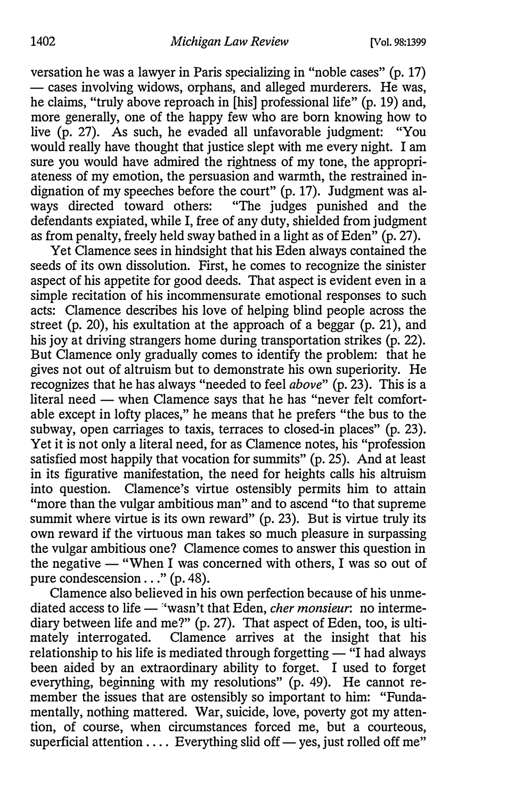versation he was a lawyer in Paris specializing in "noble cases" (p. 17) - cases involving widows, orphans, and alleged murderers. He was, he claims, "truly above reproach in [his] professional life" (p. 19) and, more generally, one of the happy few who are born knowing how to live (p. 27). As such, he evaded all unfavorable judgment: "You would really have thought that justice slept with me every night. I am sure you would have admired the rightness of my tone, the appropriateness of my emotion, the persuasion and warmth, the restrained indignation of my speeches before the court" (p. 17). Judgment was always directed toward others: "The judges punished and the defendants expiated, while I, free of any duty, shielded from judgment as from penalty, freely held sway bathed in a light as of Eden" (p. 27).

Yet Clamence sees in hindsight that his Eden always contained the seeds of its own dissolution. First, he comes to recognize the sinister aspect of his appetite for good deeds. That aspect is evident even in a simple recitation of his incommensurate emotional responses to such acts: Clamence describes his love of helping blind people across the street (p. 20), his exultation at the approach of a beggar (p. 21), and his joy at driving strangers home during transportation strikes (p. 22). But Clamence only gradually comes to identify the problem: that he gives not out of altruism but to demonstrate his own superiority. He recognizes that he has always "needed to feel *above*" (p. 23). This is a literal need — when Clamence says that he has "never felt comfortable except in lofty places," he means that he prefers "the bus to the subway, open carriages to taxis, terraces to closed-in places" (p. 23). Yet it is not only a literal need, for as Clamence notes, his "profession satisfied most happily that vocation for summits" (p. 25). And at least in its figurative manifestation, the need for heights calls his altruism into question. Clamence's virtue ostensibly permits him to attain "more than the vulgar ambitious man" and to ascend "to that supreme summit where virtue is its own reward" (p. 23). But is virtue truly its own reward if the virtuous man takes so much pleasure in surpassing the vulgar ambitious one? Clamence comes to answer this question in the negative  $-$  "When I was concerned with others, I was so out of pure condescension . . ." (p. 48).

Clamence also believed in his own perfection because of his unmediated access to life  $-$  "wasn't that Eden, *cher monsieur*: no intermediary between life and me?" (p. 27). That aspect of Eden, too, is ultimately interrogated. Clamence arrives at the insight that his relationship to his life is mediated through forgetting  $-$  "I had always" been aided by an extraordinary ability to forget. I used to forget everything, beginning with my resolutions" (p. 49). He cannot remember the issues that are ostensibly so important to him: "Fundamentally, nothing mattered. War, suicide, love, poverty got my attention, of course, when circumstances forced me, but a courteous, superficial attention  $\dots$ . Everything slid off  $-$  yes, just rolled off me"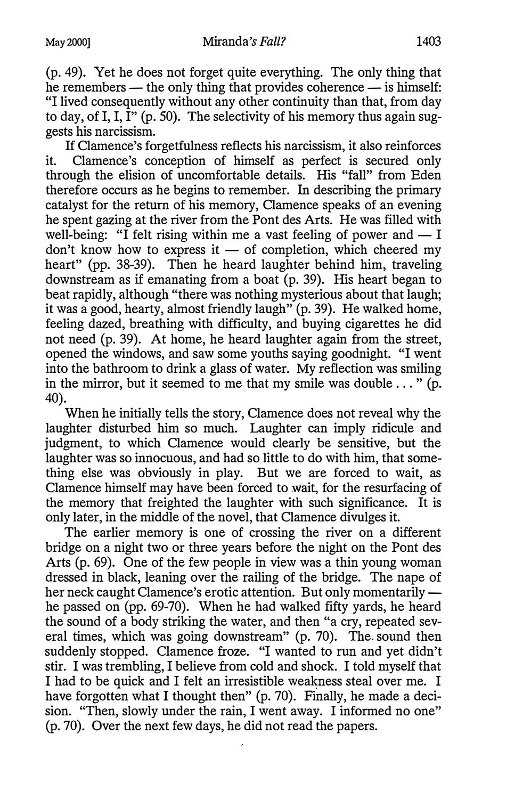If Clamence's forgetfulness reflects his narcissism, it also reinforces it. Clamence's conception of himself as perfect is secured only through the elision of uncomfortable details. His "fall" from Eden therefore occurs as he begins to remember. In describing the primary catalyst for the return of his memory, Clamence speaks of an evening he spent gazing at the river from the Pont des Arts. He was filled with well-being: "I felt rising within me a vast feeling of power and  $- I$ don't know how to express it  $-$  of completion, which cheered my heart" (pp. 38-39). Then he heard laughter behind him, traveling downstream as if emanating from a boat (p. 39). His heart began to beat rapidly, although "there was nothing mysterious about that laugh; it was a good, hearty, almost friendly laugh" (p. 39). He walked home, feeling dazed, breathing with difficulty, and buying cigarettes he did not need (p. 39). At home, he heard laughter again from the street, opened the windows, and saw some youths saying goodnight. "I went into the bathroom to drink a glass of water. My reflection was smiling in the mirror, but it seemed to me that my smile was double  $\dots$  " (p. 40).

When he initially tells the story, Clamence does not reveal why the laughter disturbed him so much. Laughter can imply ridicule and judgment, to which Clamence would clearly be sensitive, but the laughter was so innocuous, and had so little to do with him, that something else was obviously in play. But we are forced to wait, as Clamence himself may have been forced to wait, for the resurfacing of the memory that freighted the laughter with such significance. It is only later, in the middle of the novel, that Clamence divulges it.

The earlier memory is one of crossing the river on a different bridge on a night two or three years before the night on the Pont des Arts (p. 69). One of the few people in view was a thin young woman dressed in black, leaning over the railing of the bridge. The nape of her neck caught Clamence's erotic attention. But only momentarily he passed on (pp. 69-70). When he had walked fifty yards, he heard the sound of a body striking the water, and then "a cry, repeated several times, which was going downstream" (p. 70). The sound then suddenly stopped. Clamence froze. "I wanted to run and yet didn't stir. I was trembling, I believe from cold and shock. I told myself that I had to be quick and I felt an irresistible weakness steal over me. I have forgotten what I thought then" (p. 70). Finally, he made a decision. "Then, slowly under the rain, I went away. I informed no one" (p. 70). Over the next few days, he did not read the papers.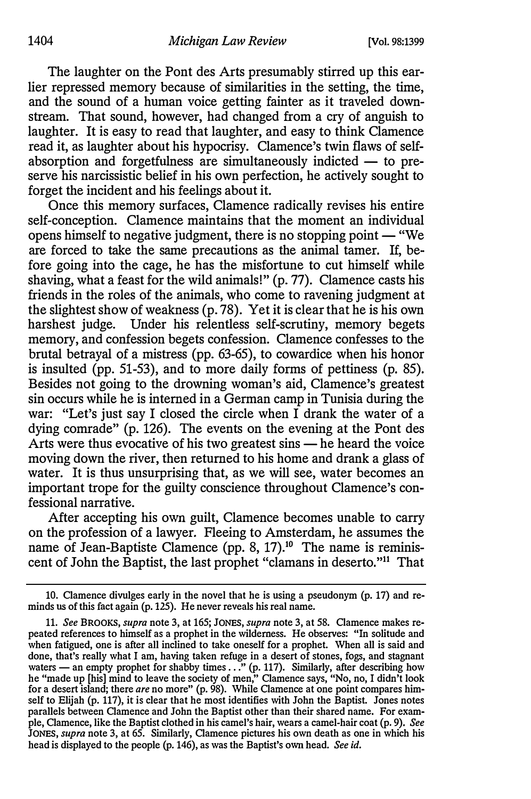The laughter on the Pont des Arts presumably stirred up this earlier repressed memory because of similarities in the setting, the time, and the sound of a human voice getting fainter as it traveled downstream. That sound, however, had changed from a cry of anguish to laughter. It is easy to read that laughter, and easy to think Clamence read it, as laughter about his hypocrisy. Clamence's twin flaws of selfabsorption and forgetfulness are simultaneously indicted  $-$  to preserve his narcissistic belief in his own perfection, he actively sought to forget the incident and his feelings about it.

Once this memory surfaces, Clamence radically revises his entire self-conception. Clamence maintains that the moment an individual opens himself to negative judgment, there is no stopping point  $-$  "We are forced to take the same precautions as the animal tamer. If, before going into the cage, he has the misfortune to cut himself while shaving, what a feast for the wild animals!" (p. 77). Clamence casts his friends in the roles of the animals, who come to ravening judgment at the slightest show of weakness (p. 78). Yet it is clear that he is his own harshest judge. Under his relentless self-scrutiny, memory begets memory, and confession begets confession. Clamence confesses to the brutal betrayal of a mistress (pp. 63-65), to cowardice when his honor is insulted (pp. 51-53), and to more daily forms of pettiness (p. 85). Besides not going to the drowning woman's aid, Clamence's greatest sin occurs while he is interned in a German camp in Tunisia during the war: "Let's just say I closed the circle when I drank the water of a dying comrade" (p. 126). The events on the evening at the Pont des Arts were thus evocative of his two greatest sins  $-$  he heard the voice moving down the river, then returned to his home and drank a glass of water. It is thus unsurprising that, as we will see, water becomes an important trope for the guilty conscience throughout Clamence's confessional narrative.

After accepting his own guilt, Clamence becomes unable to carry on the profession of a lawyer. Fleeing to Amsterdam, he assumes the name of Jean-Baptiste Clamence (pp. 8, 17).<sup>10</sup> The name is reminiscent of John the Baptist, the last prophet "clamans in deserto."11 That

<sup>10.</sup> Clamence divulges early in the novel that he is using a pseudonym (p. 17) and reminds us of this fact again (p. 125). He never reveals his real name.

<sup>11.</sup> See BROOKS, supra note 3, at 165; JONES, supra note 3, at 58. Clamence makes repeated references to himself as a prophet in the wilderness. He observes: "In solitude and when fatigued, one is after all inclined to take oneself for a prophet. When all is said and done, that's really what I am, having taken refuge in a desert of stones, fogs, and stagnant waters  $-$  an empty prophet for shabby times . . ." (p. 117). Similarly, after describing how he "made up [his] mind to leave the society of men," Clamence says, "No, no, I didn't look for a desert island; there are no more" (p. 98). While Clamence at one point compares himself to Elijah (p. 117), it is clear that he most identifies with John the Baptist. Jones notes parallels between Clamence and John the Baptist other than their shared name. For example, Clamence, like the Baptist clothed in his camel's hair, wears a camel-hair coat (p. 9). See JONES, supra note 3, at 65. Similarly, Clamence pictures his own death as one in which his head is displayed to the people (p. 146), as was the Baptist's own head. See id.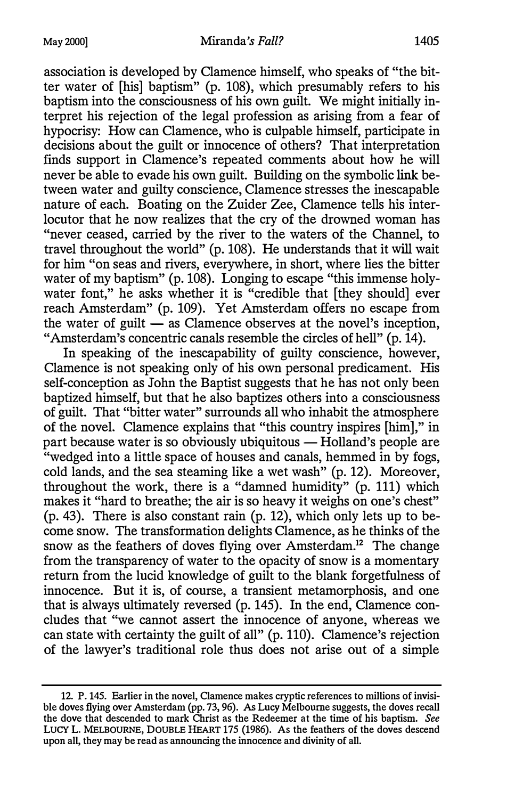association is developed by Clamence himself, who speaks of "the bitter water of [his] baptism" (p. 108), which presumably refers to his baptism into the consciousness of his own guilt. We might initially interpret his rejection of the legal profession as arising from a fear of hypocrisy: How can Clamence, who is culpable himself, participate in decisions about the guilt or innocence of others? That interpretation finds support in Clamence's repeated comments about how he will never be able to evade his own guilt. Building on the symbolic link between water and guilty conscience, Clamence stresses the inescapable nature of each. Boating on the Zuider Zee, Clamence tells his interlocutor that he now realizes that the cry of the drowned woman has "never ceased, carried by the river to the waters of the Channel, to travel throughout the world" (p. 108). He understands that it will wait for him "on seas and rivers, everywhere, in short, where lies the bitter water of my baptism" (p. 108). Longing to escape "this immense holywater font," he asks whether it is "credible that [they should] ever reach Amsterdam" (p. 109). Yet Amsterdam offers no escape from the water of guilt  $\frac{1}{\sqrt{2}}$  as Clamence observes at the novel's inception, "Amsterdam's concentric canals resemble the circles of hell" (p. 14).

In speaking of the inescapability of guilty conscience, however, Clamence is not speaking only of his own personal predicament. His self-conception as John the Baptist suggests that he has not only been baptized himself, but that he also baptizes others into a consciousness of guilt. That "bitter water" surrounds all who inhabit the atmosphere of the novel. Clamence explains that "this country inspires [him]," in part because water is so obviously ubiquitous  $-$  Holland's people are "wedged into a little space of houses and canals, hemmed in by fogs, cold lands, and the sea steaming like a wet wash" (p. 12). Moreover, throughout the work, there is a "damned humidity" (p. 111) which makes it "hard to breathe; the air is so heavy it weighs on one's chest" (p. 43). There is also constant rain (p. 12), which only lets up to become snow. The transformation delights Clamence, as he thinks of the snow as the feathers of doves flying over Amsterdam.<sup>12</sup> The change from the transparency of water to the opacity of snow is a momentary return from the lucid knowledge of guilt to the blank forgetfulness of innocence. But it is, of course, a transient metamorphosis, and one that is always ultimately reversed (p. 145). In the end, Clamence concludes that "we cannot assert the innocence of anyone, whereas we can state with certainty the guilt of all" (p. 110). Clamence's rejection of the lawyer's traditional role thus does not arise out of a simple

<sup>12.</sup> P. 145. Earlier in the novel, Clamence makes cryptic references to millions of invisible doves flying over Amsterdam (pp. 73, 96). As Lucy Melbourne suggests, the doves recall the dove that descended to mark Christ as the Redeemer at the time of his baptism. See LUCY L. MELBOURNE, DOUBLE HEART 175 (1986). As the feathers of the doves descend upon all, they may be read as announcing the innocence and divinity of all.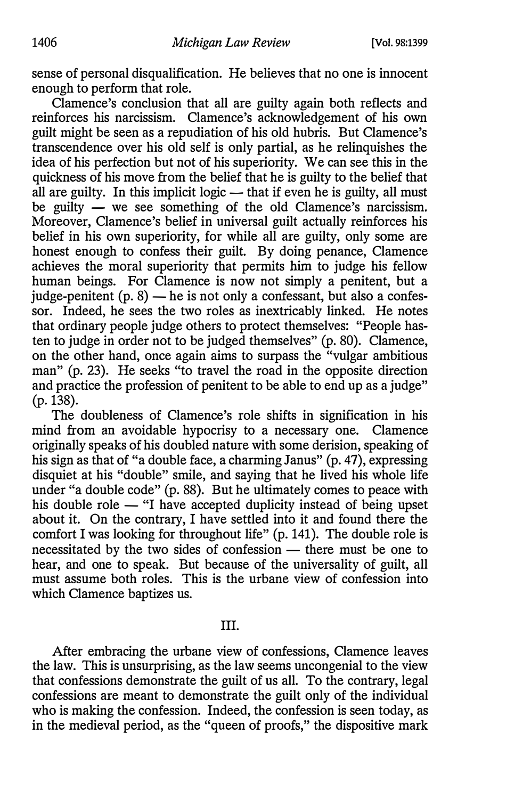sense of personal disqualification. He believes that no one is innocent enough to perform that role.

Clamence's conclusion that all are guilty again both reflects and reinforces his narcissism. Clamence's acknowledgement of his own guilt might be seen as a repudiation of his old hubris. But Clamence's transcendence over his old self is only partial, as he relinquishes the idea of his perfection but not of his superiority. We can see this in the quickness of his move from the belief that he is guilty to the belief that all are guilty. In this implicit logic  $-$  that if even he is guilty, all must be guilty  $\frac{1}{x}$  we see something of the old Clamence's narcissism. Moreover, Clamence's belief in universal guilt actually reinforces his belief in his own superiority, for while all are guilty, only some are honest enough to confess their guilt. By doing penance, Clamence achieves the moral superiority that permits him to judge his fellow human beings. For Clamence is now not simply a penitent, but a judge-penitent  $(p. 8)$  — he is not only a confessant, but also a confessor. Indeed, he sees the two roles as inextricably linked. He notes that ordinary people judge others to protect themselves: "People hasten to judge in order not to be judged themselves" (p. 80). Clamence, on the other hand, once again aims to surpass the "vulgar ambitious man" (p. 23). He seeks "to travel the road in the opposite direction and practice the profession of penitent to be able to end up as a judge" (p.138).

The doubleness of Clamence's role shifts in signification in his mind from an avoidable hypocrisy to a necessary one. Clamence originally speaks of his doubled nature with some derision, speaking of his sign as that of "a double face, a charming Janus" (p. 47), expressing disquiet at his "double" smile, and saying that he lived his whole life under "a double code" (p. 88). But he ultimately comes to peace with his double role  $-$  "I have accepted duplicity instead of being upset about it. On the contrary, I have settled into it and found there the comfort I was looking for throughout life" (p. 141). The double role is necessitated by the two sides of confession  $-$  there must be one to hear, and one to speak. But because of the universality of guilt, all must assume both roles. This is the urbane view of confession into which Clamence baptizes us.

### III.

After embracing the urbane view of confessions, Clamence leaves the law. This is unsurprising, as the law seems uncongenial to the view that confessions demonstrate the guilt of us all. To the contrary, legal confessions are meant to demonstrate the guilt only of the individual who is making the confession. Indeed, the confession is seen today, as in the medieval period, as the "queen of proofs," the dispositive mark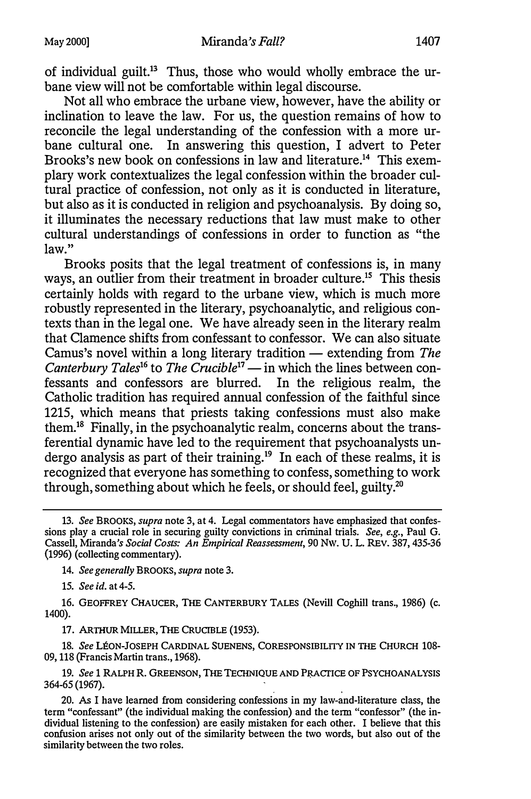of individual guilt.13 Thus, those who would wholly embrace the urbane view will not be comfortable within legal discourse.

Not all who embrace the urbane view, however, have the ability or inclination to leave the law. For us, the question remains of how to reconcile the legal understanding of the confession with a more urbane cultural one. In answering this question, I advert to Peter Brooks's new book on confessions in law and literature.<sup>14</sup> This exemplary work contextualizes the legal confession within the broader cultural practice of confession, not only as it is conducted in literature, but also as it is conducted in religion and psychoanalysis. By doing so, it illuminates the necessary reductions that law must make to other cultural understandings of confessions in order to function as "the law."

Brooks posits that the legal treatment of confessions is, in many ways, an outlier from their treatment in broader culture.<sup>15</sup> This thesis certainly holds with regard to the urbane view, which is much more robustly represented in the literary, psychoanalytic, and religious contexts than in the legal one. We have already seen in the literary realm that Clamence shifts from confessant to confessor. We can also situate Camus's novel within a long literary tradition  $-$  extending from The Canterbury Tales<sup>16</sup> to The Crucible<sup>17</sup> - in which the lines between confessants and confessors are blurred. In the religious realm, the Catholic tradition has required annual confession of the faithful since 1215, which means that priests taking confessions must also make them.18 Finally, in the psychoanalytic realm, concerns about the transferential dynamic have led to the requirement that psychoanalysts undergo analysis as part of their training.<sup>19</sup> In each of these realms, it is recognized that everyone has something to confess, something to work through, something about which he feels, or should feel, guilty.20

14. See generally BROOKS, supra note 3.

15. See id. at 4-5.

16. GEOFFREY CHAUCER, THE CANTERBURY TALES (Nevill Coghill trans., 1986) (c. 1400).

17. ARTHUR MILLER, THE CRUCIBLE (1953).

18. See LÉON-JOSEPH CARDINAL SUENENS, CORESPONSIBILITY IN THE CHURCH 108-09, 118 (Francis Martin trans., 1968).

19. See 1 RALPH R. GREENSON, THE TECHNIQUE AND PRACTICE OF PSYCHOANALYSIS 364-65 (1967).

20. As I have learned from considering confessions in my law-and-literature class, the term "confessant" (the individual making the confession) and the term "confessor" (the individual listening to the confession) are easily mistaken for each other. I believe that this confusion arises not only out of the similarity between the two words, but also out of the similarity between the two roles.

<sup>13.</sup> See BROOKS, supra note 3, at 4. Legal commentators have emphasized that confessions play a crucial role in securing guilty convictions in criminal trials. See, e.g., Paul G. Cassell, Miranda's Social Costs: An Empirical Reassessment, 90 Nw. U. L. REV. 387, 435-36 (1996) (collecting commentary).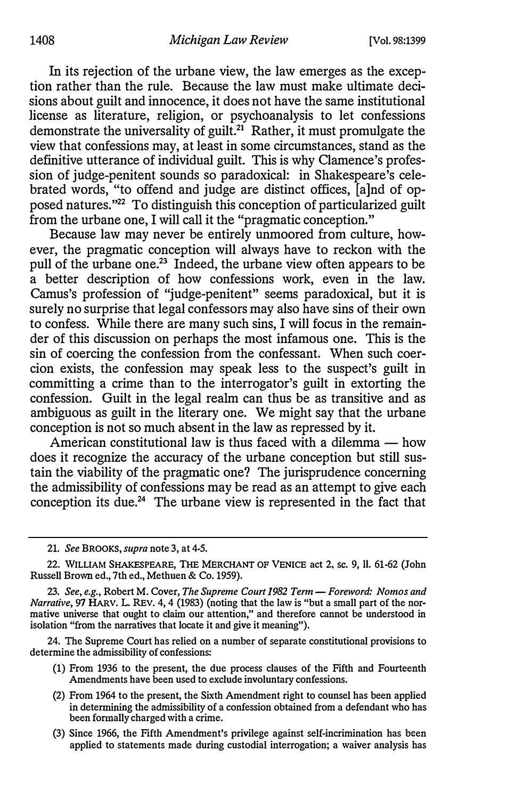In its rejection of the urbane view, the law emerges as the exception rather than the rule. Because the law must make ultimate decisions about guilt and innocence, it does not have the same institutional license as literature, religion, or psychoanalysis to let confessions demonstrate the universality of guilt.<sup>21</sup> Rather, it must promulgate the view that confessions may, at least in some circumstances, stand as the definitive utterance of individual guilt. This is why Clamence's profession of judge-penitent sounds so paradoxical: in Shakespeare's celebrated words, "to offend and judge are distinct offices, [a]nd of opposed natures."22 To distinguish this conception of particularized guilt from the urbane one, I will call it the "pragmatic conception."

Because law may never be entirely unmoored from culture, however, the pragmatic conception will always have to reckon with the pull of the urbane one.23 Indeed, the urbane view often appears to be a better description of how confessions work, even in the law. Camus's profession of "judge-penitent" seems paradoxical, but it is surely no surprise that legal confessors may also have sins of their own to confess. While there are many such sins, I will focus in the remainder of this discussion on perhaps the most infamous one. This is the sin of coercing the confession from the confessant. When such coercion exists, the confession may speak less to the suspect's guilt in committing a crime than to the interrogator's guilt in extorting the confession. Guilt in the legal realm can thus be as transitive and as ambiguous as guilt in the literary one. We might say that the urbane conception is not so much absent in the law as repressed by it.

American constitutional law is thus faced with a dilemma  $-$  how does it recognize the accuracy of the urbane conception but still sustain the viability of the pragmatic one? The jurisprudence concerning the admissibility of confessions may be read as an attempt to give each conception its due.<sup>24</sup> The urbane view is represented in the fact that

24. The Supreme Court has relied on a number of separate constitutional provisions to determine the admissibility of confessions:

- (1) From 1936 to the present, the due process clauses of the Fifth and Fourteenth Amendments have been used to exclude involuntary confessions.
- (2) From 1964 to the present, the Sixth Amendment right to counsel has been applied in determining the admissibility of a confession obtained from a defendant who has been formally charged with a crime.
- (3) Since 1966, the Fifth Amendment's privilege against self-incrimination has been applied to statements made during custodial interrogation; a waiver analysis has

<sup>21.</sup> See BROOKS, supra note 3, at 4-5.

<sup>22.</sup> WILLIAM SHAKESPEARE, THE MERCHANT OF VENICE act 2, SC. 9, 11. 61-62 (John Russell Brown ed., 7th ed., Methuen & Co. 1959).

<sup>23.</sup> See, e.g., Robert M. Cover, The Supreme Court 1982 Term - Foreword: Nomos and Narrative, 97 HARV. L. REV. 4, 4 (1983) (noting that the law is "but a small part of the normative universe that ought to claim our attention," and therefore cannot be understood in isolation "from the narratives that locate it and give it meaning").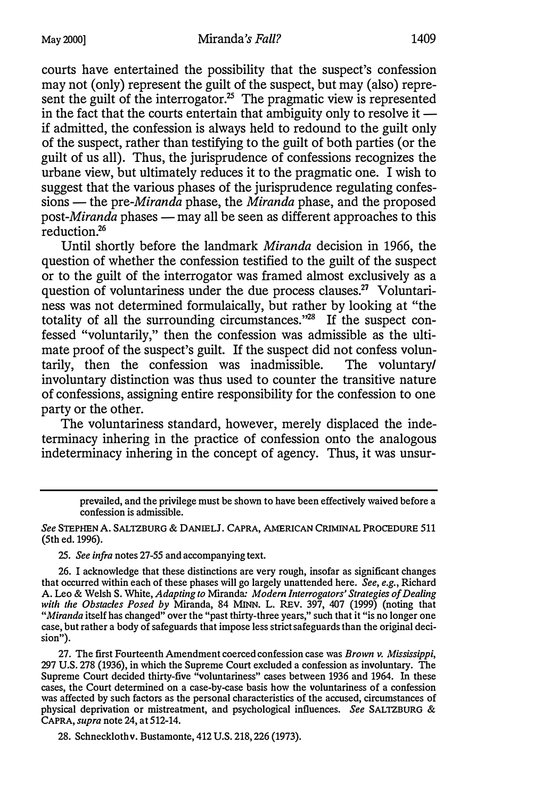courts have entertained the possibility that the suspect's confession may not (only) represent the guilt of the suspect, but may (also) represent the guilt of the interrogator.<sup>25</sup> The pragmatic view is represented in the fact that the courts entertain that ambiguity only to resolve it  $$ if admitted, the confession is always held to redound to the guilt only of the suspect, rather than testifying to the guilt of both parties (or the guilt of us all). Thus, the jurisprudence of confessions recognizes the urbane view, but ultimately reduces it to the pragmatic one. I wish to suggest that the various phases of the jurisprudence regulating confes $sions$ — the pre-*Miranda* phase, the *Miranda* phase, and the proposed post-*Miranda* phases  $-\frac{m}{n}$  all be seen as different approaches to this reduction.<sup>26</sup>

Until shortly before the landmark Miranda decision in 1966, the question of whether the confession testified to the guilt of the suspect or to the guilt of the interrogator was framed almost exclusively as a question of voluntariness under the due process clauses.<sup>27</sup> Voluntariness was not determined formulaically, but rather by looking at "the totality of all the surrounding circumstances."28 If the suspect confessed "voluntarily," then the confession was admissible as the ultimate proof of the suspect's guilt. If the suspect did not confess voluntarily, then the confession was inadmissible. The voluntary/ involuntary distinction was thus used to counter the transitive nature of confessions, assigning entire responsibility for the confession to one party or the other.

The voluntariness standard, however, merely displaced the indeterminacy inhering in the practice of confession onto the analogous indeterminacy inhering in the concept of agency. Thus, it was unsur-

25. See infra notes 27-55 and accompanying text.

27. The first Fourteenth Amendment coerced confession case was Brown v. Mississippi, 297 U.S. 278 (1936), in which the Supreme Court excluded a confession as involuntary. The Supreme Court decided thirty-five "voluntariness" cases between 1936 and 1964. In these cases, the Court determined on a case-by-case basis how the voluntariness of a confession was affected by such factors as the personal characteristics of the accused, circumstances of physical deprivation or mistreatment, and psychological influences. See SALTZBURG & CAPRA, supra note 24, at 512-14.

28. Schneckloth v. Bustamonte, 412 U.S. 218, 226 (1973).

prevailed, and the privilege must be shown to have been effectively waived before a confession is admissible.

See STEPHEN A. SALTZBURG & DANIELJ. CAPRA, AMERICAN CRIMINAL PROCEDURE 511 (5th ed. 1996).

<sup>26.</sup> I acknowledge that these distinctions are very rough, insofar as significant changes that occurred within each of these phases will go largely unattended here. See, e.g., Richard A. Leo & Welsh S. White, Adapting to Miranda: Modern Interrogators' Strategies of Dealing with the Obstacles Posed by Miranda, 84 MINN. L. REV. 397, 407 (1999) (noting that "Miranda itself has changed" over the "past thirty-three years," such that it "is no longer one case, but rather a body of safeguards that impose less strict safeguards than the original decision").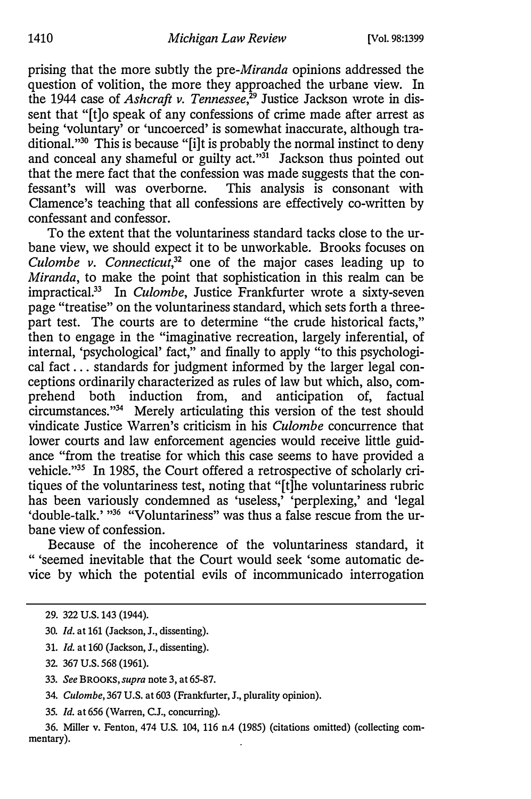prising that the more subtly the pre-Miranda opinions addressed the question of volition, the more they approached the urbane view. In the 1944 case of *Ashcraft v. Tennessee*, $29$  Justice Jackson wrote in dissent that "[t]o speak of any confessions of crime made after arrest as being 'voluntary' or 'uncoerced' is somewhat inaccurate, although traditional."<sup>30</sup> This is because "[i]t is probably the normal instinct to deny and conceal any shameful or guilty act."<sup>31</sup> Jackson thus pointed out that the mere fact that the confession was made suggests that the confessant's will was overborne. This analysis is consonant with Clamence's teaching that all confessions are effectively co-written by confessant and confessor.

To the extent that the voluntariness standard tacks close to the urbane view, we should expect it to be unworkable. Brooks focuses on Culombe v. Connecticut, $3^2$  one of the major cases leading up to Miranda, to make the point that sophistication in this realm can be impractical.<sup>33</sup> In Culombe, Justice Frankfurter wrote a sixty-seven page "treatise" on the voluntariness standard, which sets forth a threepart test. The courts are to determine "the crude historical facts," then to engage in the "imaginative recreation, largely inferential, of internal, 'psychological' fact," and finally to apply "to this psychological fact ... standards for judgment informed by the larger legal conceptions ordinarily characterized as rules of law but which, also, comprehend both induction from, and anticipation of, factual circumstances."34 Merely articulating this version of the test should vindicate Justice Warren's criticism in his Culombe concurrence that lower courts and law enforcement agencies would receive little guidance "from the treatise for which this case seems to have provided a vehicle."35 In 1985, the Court offered a retrospective of scholarly critiques of the voluntariness test, noting that "[t]he voluntariness rubric has been variously condemned as 'useless,' 'perplexing,' and 'legal 'double-talk.' "36 "Voluntariness" was thus a false rescue from the urbane view of confession.

Because of the incoherence of the voluntariness standard, it " 'seemed inevitable that the Court would seek 'some automatic device by which the potential evils of incommunicado interrogation

- 30. Id. at 161 (Jackson, J., dissenting).
- 31. Id. at 160 (Jackson, J., dissenting).
- 32. 367 U.S. 568 (1961).
- 33. See BROOKS, supra note 3, at 65-87.
- 34. Culombe, 367 U.S. at 603 (Frankfurter, J., plurality opinion).
- 35. Id. at 656 (Warren, C.J., concurring).

<sup>29. 322</sup> U.S. 143 (1944).

<sup>36.</sup> Miller v. Fenton, 474 U.S. 104, 116 n.4 (1985) (citations omitted) (collecting commentary).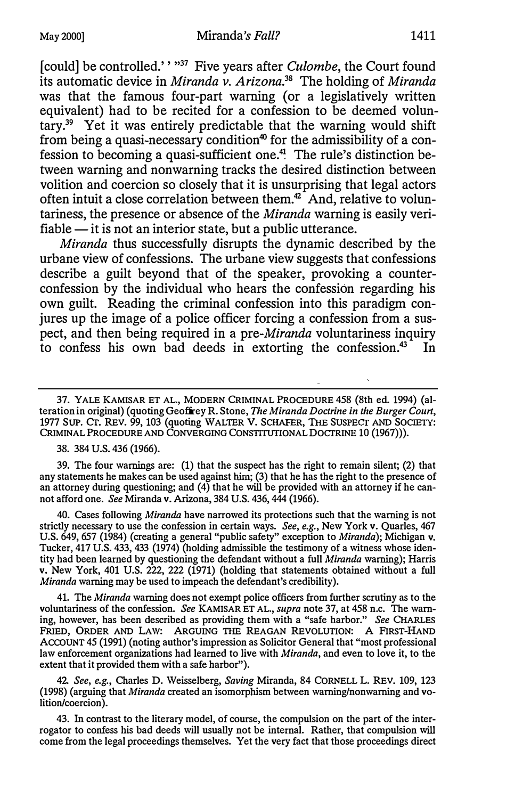[could] be controlled.'' "37 Five years after *Culombe*, the Court found its automatic device in Miranda v. Arizona.<sup>38</sup> The holding of Miranda was that the famous four-part warning (or a legislatively written equivalent) had to be recited for a confession to be deemed voluntary.39 Yet it was entirely predictable that the warning would shift from being a quasi-necessary condition<sup>40</sup> for the admissibility of a confession to becoming a quasi-sufficient one.41 The rule's distinction between warning and nonwarning tracks the desired distinction between volition and coercion so closely that it is unsurprising that legal actors often intuit a close correlation between them.<sup>42</sup> And, relative to voluntariness, the presence or absence of the Miranda warning is easily veri $fiable - it$  is not an interior state, but a public utterance.

Miranda thus successfully disrupts the dynamic described by the urbane view of confessions. The urbane view suggests that confessions describe a guilt beyond that of the speaker, provoking a counterconfession by the individual who hears the confession regarding his own guilt. Reading the criminal confession into this paradigm conjures up the image of a police officer forcing a confession from a suspect, and then being required in a pre-Miranda voluntariness inquiry to confess his own bad deeds in extorting the confession.<sup>43</sup> In

37. YALE KAMISAR ET AL., MODERN CRIMINAL PROCEDURE 458 (8th ed. 1994) (alteration in original) (quoting Geoffrey R. Stone, The Miranda Doctrine in the Burger Court, 1977 SUP. Cr. REV. 99, 103 (quoting WALTER v. SCHAFER, THE SUSPECT AND SOCIETY: CRIMINAL PROCEDURE AND CONVERGING CONSTITUTIONAL DOCTRINE 10 (1967))).

38. 384 U.S. 436 (1966).

39. The four warnings are: (1) that the suspect has the right to remain silent; (2) that any statements he makes can be used against him; (3) that he has the right to the presence of an attorney during questioning; and  $(4)$  that he will be provided with an attorney if he cannot afford one. See Miranda v. Arizona, 384 U.S. 436, 444 (1966).

40. Cases following Miranda have narrowed its protections such that the warning is not strictly necessary to use the confession in certain ways. See, e.g., New York v. Quarles, 467 U.S. 649, 657 (1984) (creating a general "public safety" exception to Miranda); Michigan v. Tucker, 417 U.S. 433, 433 (1974) (holding admissible the testimony of a witness whose identity had been learned by questioning the defendant without a full Miranda warning); Harris v. New York, 401 U.S. 222, 222 (1971) (holding that statements obtained without a full Miranda warning may be used to impeach the defendant's credibility).

41. The Miranda warning does not exempt police officers from further scrutiny as to the voluntariness of the confession. See KAMISAR ET AL., supra note 37, at 458 n.c. The warning, however, has been described as providing them with a "safe harbor." See CHARLES FRIED, ORDER AND LAW: ARGUING THE REAGAN REVOLUTION: A FIRST-HAND ACCOUNT 45 (1991) (noting author's impression as Solicitor General that "most professional law enforcement organizations had learned to live with *Miranda*, and even to love it, to the extent that it provided them with a safe harbor").

42 See, e.g., Charles D. Weisselberg, Saving Miranda, 84 CORNELL L. REV. 109, 123 (1998) (arguing that Miranda created an isomorphism between warning/nonwarning and volition/coercion).

43. In contrast to the literary model, of course, the compulsion on the part of the interrogator to confess his bad deeds will usually not be internal. Rather, that compulsion will come from the legal proceedings themselves. Yet the very fact that those proceedings direct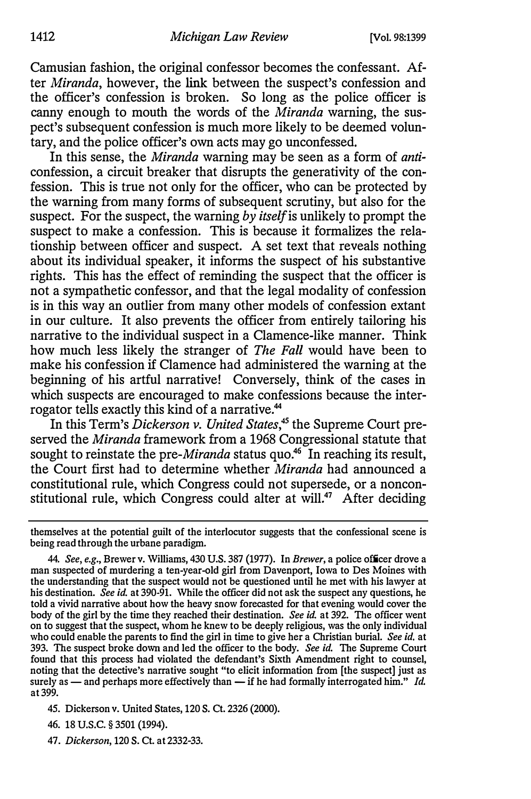Camusian fashion, the original confessor becomes the confessant. After Miranda, however, the link between the suspect's confession and the officer's confession is broken. So long as the police officer is canny enough to mouth the words of the Miranda warning, the suspect's subsequent confession is much more likely to be deemed voluntary, and the police officer's own acts may go unconfessed.

In this sense, the *Miranda* warning may be seen as a form of *anti*confession, a circuit breaker that disrupts the generativity of the confession. This is true not only for the officer, who can be protected by the warning from many forms of subsequent scrutiny, but also for the suspect. For the suspect, the warning by *itself* is unlikely to prompt the suspect to make a confession. This is because it formalizes the relationship between officer and suspect. A set text that reveals nothing about its individual speaker, it informs the suspect of his substantive rights. This has the effect of reminding the suspect that the officer is not a sympathetic confessor, and that the legal modality of confession is in this way an outlier from many other models of confession extant in our culture. It also prevents the officer from entirely tailoring his narrative to the individual suspect in a Clamence-like manner. Think how much less likely the stranger of The Fall would have been to make his confession if Clamence had administered the warning at the beginning of his artful narrative! Conversely, think of the cases in which suspects are encouraged to make confessions because the interrogator tells exactly this kind of a narrative.<sup>44</sup>

In this Term's Dickerson v. United States,<sup>45</sup> the Supreme Court preserved the *Miranda* framework from a 1968 Congressional statute that sought to reinstate the pre-*Miranda* status quo.<sup>46</sup> In reaching its result, the Court first had to determine whether *Miranda* had announced a constitutional rule, which Congress could not supersede, or a nonconstitutional rule, which Congress could alter at will.<sup>47</sup> After deciding

47. Dickerson, 120 S. Ct. at 2332-33.

themselves at the potential guilt of the interlocutor suggests that the confessional scene is being read through the urbane paradigm.

<sup>44.</sup> See, e.g., Brewer v. Williams, 430 U.S. 387 {1977). In Brewer, a police officer drove a man suspected of murdering a ten-year-old girl from Davenport, Iowa to Des Moines with the understanding that the suspect would not be questioned until he met with his lawyer at his destination. See id. at 390-91. While the officer did not ask the suspect any questions, he told a vivid narrative about how the heavy snow forecasted for that evening would cover the body of the girl by the time they reached their destination. See id. at 392. The officer went on to suggest that the suspect, whom he knew to be deeply religious, was the only individual who could enable the parents to find the girl in time to give her a Christian burial. See id. at 393. The suspect broke down and led the officer to the body. See id. The Supreme Court found that this process had violated the defendant's Sixth Amendment right to counsel, noting that the detective's narrative sought "to elicit information from [the suspect] just as surely as — and perhaps more effectively than — if he had formally interrogated him." Id. at 399.

<sup>45.</sup> Dickerson v. United States, 120 S. Ct. 2326 (2000).

<sup>46. 18</sup> u.s.c. § 3501 (1994).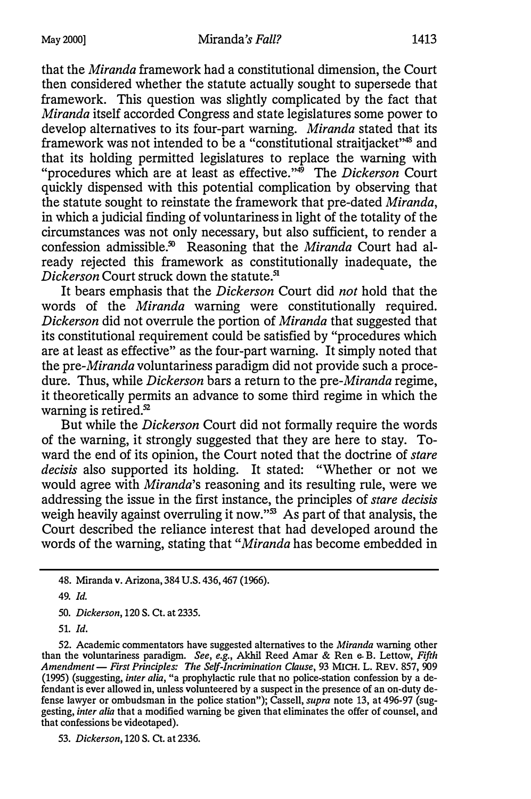that the Miranda framework had a constitutional dimension, the Court then considered whether the statute actually sought to supersede that framework. This question was slightly complicated by the fact that Miranda itself accorded Congress and state legislatures some power to develop alternatives to its four-part warning. Miranda stated that its framework was not intended to be a "constitutional straitjacket"48 and that its holding permitted legislatures to replace the warning with "procedures which are at least as effective."<sup>\*\*</sup> The *Dickerson* Court quickly dispensed with this potential complication by observing that the statute sought to reinstate the framework that pre-dated Miranda, in which a judicial finding of voluntariness in light of the totality of the circumstances was not only necessary, but also sufficient, to render a confession admissible.<sup>50</sup> Reasoning that the Miranda Court had already rejected this framework as constitutionally inadequate, the Dickerson Court struck down the statute.<sup>51</sup>

It bears emphasis that the *Dickerson* Court did not hold that the words of the Miranda warning were constitutionally required. Dickerson did not overrule the portion of *Miranda* that suggested that its constitutional requirement could be satisfied by "procedures which are at least as effective" as the four-part warning. It simply noted that the pre-Miranda voluntariness paradigm did not provide such a procedure. Thus, while Dickerson bars a return to the pre-Miranda regime, it theoretically permits an advance to some third regime in which the warning is retired.<sup>52</sup>

But while the Dickerson Court did not formally require the words of the warning, it strongly suggested that they are here to stay. Toward the end of its opinion, the Court noted that the doctrine of *stare* decisis also supported its holding. It stated: "Whether or not we would agree with *Miranda*'s reasoning and its resulting rule, were we addressing the issue in the first instance, the principles of stare decisis weigh heavily against overruling it now." $\frac{3}{10}$  As part of that analysis, the Court described the reliance interest that had developed around the words of the warning, stating that "Miranda has become embedded in

50. Dickerson, 120 S. Ct. at 2335.

51. Id.

<sup>48.</sup> Miranda v. Arizona, 384 U.S. 436, 467 (1966).

<sup>49.</sup> Id.

<sup>52.</sup> Academic commentators have suggested alternatives to the Miranda warning other than the voluntariness paradigm. See, e.g., Akhil Reed Amar & Ren e-B. Lettow, Fifth Amendment - First Principles: The Self-Incrimination Clause, 93 MICH. L. REV. 857, 909 (1995) (suggesting, inter alia, "a prophylactic rule that no police-station confession by a defendant is ever allowed in, unless volunteered by a suspect in the presence of an on-duty defense lawyer or ombudsman in the police station"); Cassell, supra note 13, at 496-97 (suggesting, inter alia that a modified warning be given that eliminates the offer of counsel, and that confessions be videotaped).

<sup>53.</sup> Dickerson, 120 S. Ct. at 2336.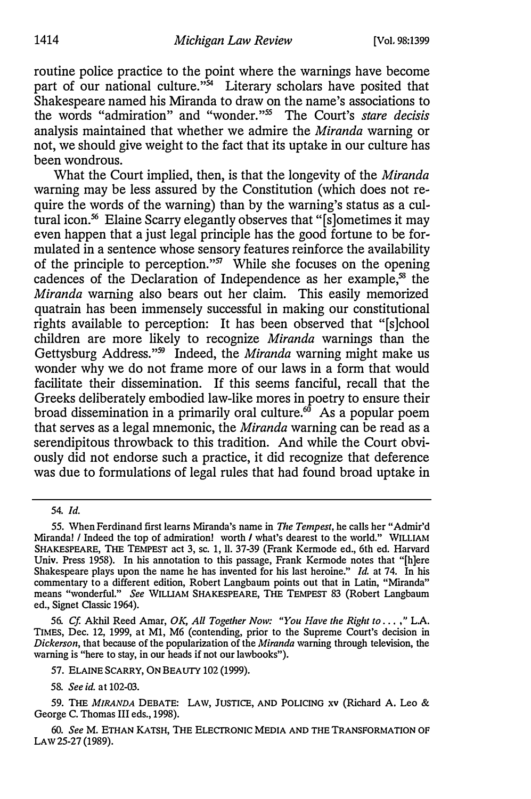routine police practice to the point where the warnings have become part of our national culture."<sup>54</sup> Literary scholars have posited that Shakespeare named his Miranda to draw on the name's associations to the words "admiration" and "wonder."55 The Court's stare decisis analysis maintained that whether we admire the Miranda warning or not, we should give weight to the fact that its uptake in our culture has been wondrous.

What the Court implied, then, is that the longevity of the Miranda warning may be less assured by the Constitution (which does not require the words of the warning) than by the warning's status as a cultural icon.56 Elaine Scarry elegantly observes that "[s]ometimes it may even happen that a just legal principle has the good fortune to be formulated in a sentence whose sensory features reinforce the availability of the principle to perception."57 While she focuses on the opening cadences of the Declaration of Independence as her example,<sup>58</sup> the Miranda warning also bears out her claim. This easily memorized quatrain has been immensely successful in making our constitutional rights available to perception: It has been observed that "[s]chool children are more likely to recognize Miranda warnings than the Gettysburg Address."<sup>59</sup> Indeed, the *Miranda* warning might make us wonder why we do not frame more of our laws in a form that would facilitate their dissemination. If this seems fanciful, recall that the Greeks deliberately embodied law-like mores in poetry to ensure their broad dissemination in a primarily oral culture. $60$  As a popular poem that serves as a legal mnemonic, the Miranda warning can be read as a serendipitous throwback to this tradition. And while the Court obviously did not endorse such a practice, it did recognize that deference was due to formulations of legal rules that had found broad uptake in

54. Id.

<sup>55.</sup> When Ferdinand first learns Miranda's name in The Tempest, he calls her "Admir'd Miranda! / Indeed the top of admiration! worth / what's dearest to the world." WILLIAM SHAKESPEARE, THE TEMPEST act 3, sc. 1, II. 37-39 (Frank Kermode ed., 6th ed. Harvard Univ. Press 1958). In his annotation to this passage, Frank Kermode notes that "[h]ere Shakespeare plays upon the name he has invented for his last heroine." Id. at 74. In his commentary to a different edition, Robert Langbaum points out that in Latin, "Miranda" means "wonderful." See WILLIAM SHAKESPEARE, THE TEMPEST 83 (Robert Langbaum ed., Signet Classic 1964).

<sup>56.</sup> Cf. Akhil Reed Amar, OK, All Together Now: "You Have the Right to . . . ,"L.A. TIMES, Dec. 12, 1999, at Ml, M6 (contending, prior to the Supreme Court's decision in Dickerson, that because of the popularization of the *Miranda* warning through television, the warning is "here to stay, in our heads if not our lawbooks").

<sup>57.</sup> ELAINE SCARRY, ON BEAUTY 102 (1999).

<sup>58.</sup> See id. at 102-03.

<sup>59.</sup> THE MIRANDA DEBATE: LAW, JUSTICE, AND POLICING xv (Richard A. Leo & George C. Thomas III eds., 1998).

<sup>60.</sup> See M. ETHAN KATSH, THE ELECTRONIC MEDIA AND THE TRANSFORMATION OF LAW 25-27 (1989).